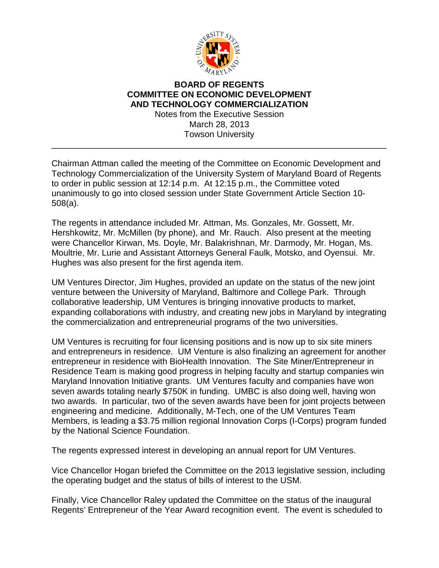

## **BOARD OF REGENTS COMMITTEE ON ECONOMIC DEVELOPMENT AND TECHNOLOGY COMMERCIALIZATION** Notes from the Executive Session

March 28, 2013 Towson University \_\_\_\_\_\_\_\_\_\_\_\_\_\_\_\_\_\_\_\_\_\_\_\_\_\_\_\_\_\_\_\_\_\_\_\_\_\_\_\_\_\_\_\_\_\_\_\_\_\_\_\_\_\_\_\_\_\_\_\_\_\_\_\_\_\_\_\_\_\_

Chairman Attman called the meeting of the Committee on Economic Development and Technology Commercialization of the University System of Maryland Board of Regents to order in public session at 12:14 p.m. At 12:15 p.m., the Committee voted unanimously to go into closed session under State Government Article Section 10- 508(a).

The regents in attendance included Mr. Attman, Ms. Gonzales, Mr. Gossett, Mr. Hershkowitz, Mr. McMillen (by phone), and Mr. Rauch. Also present at the meeting were Chancellor Kirwan, Ms. Doyle, Mr. Balakrishnan, Mr. Darmody, Mr. Hogan, Ms. Moultrie, Mr. Lurie and Assistant Attorneys General Faulk, Motsko, and Oyensui. Mr. Hughes was also present for the first agenda item.

UM Ventures Director, Jim Hughes, provided an update on the status of the new joint venture between the University of Maryland, Baltimore and College Park. Through collaborative leadership, UM Ventures is bringing innovative products to market, expanding collaborations with industry, and creating new jobs in Maryland by integrating the commercialization and entrepreneurial programs of the two universities.

UM Ventures is recruiting for four licensing positions and is now up to six site miners and entrepreneurs in residence. UM Venture is also finalizing an agreement for another entrepreneur in residence with BioHealth Innovation. The Site Miner/Entrepreneur in Residence Team is making good progress in helping faculty and startup companies win Maryland Innovation Initiative grants. UM Ventures faculty and companies have won seven awards totaling nearly \$750K in funding. UMBC is also doing well, having won two awards. In particular, two of the seven awards have been for joint projects between engineering and medicine. Additionally, M-Tech, one of the UM Ventures Team Members, is leading a \$3.75 million regional Innovation Corps (I-Corps) program funded by the National Science Foundation.

The regents expressed interest in developing an annual report for UM Ventures.

Vice Chancellor Hogan briefed the Committee on the 2013 legislative session, including the operating budget and the status of bills of interest to the USM.

Finally, Vice Chancellor Raley updated the Committee on the status of the inaugural Regents' Entrepreneur of the Year Award recognition event. The event is scheduled to